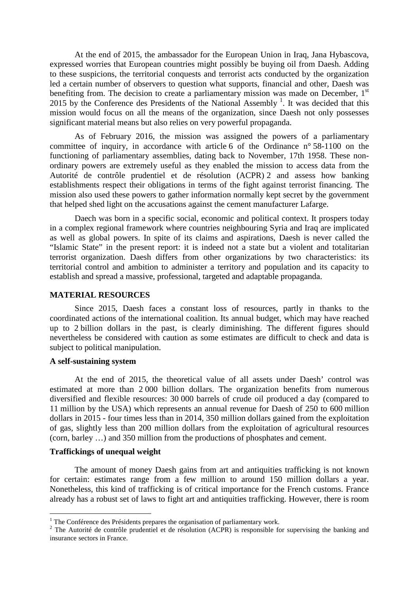At the end of 2015, the ambassador for the European Union in Iraq, Jana Hybascova, expressed worries that European countries might possibly be buying oil from Daesh. Adding to these suspicions, the territorial conquests and terrorist acts conducted by the organization led a certain number of observers to question what supports, financial and other, Daesh was benefiting from. The decision to create a parliamentary mission was made on December,  $1<sup>st</sup>$ 20[1](#page-0-0)5 by the Conference des Presidents of the National Assembly  $<sup>1</sup>$ . It was decided that this</sup> mission would focus on all the means of the organization, since Daesh not only possesses significant material means but also relies on very powerful propaganda.

As of February 2016, the mission was assigned the powers of a parliamentary committee of inquiry, in accordance with article 6 of the Ordinance n° 58-1100 on the functioning of parliamentary assemblies, dating back to November, 17th 1958. These nonordinary powers are extremely useful as they enabled the mission to access data from the Autorité de contrôle prudentiel et de résolution (ACPR) [2](#page-0-1) and assess how banking establishments respect their obligations in terms of the fight against terrorist financing. The mission also used these powers to gather information normally kept secret by the government that helped shed light on the accusations against the cement manufacturer Lafarge.

Daech was born in a specific social, economic and political context. It prospers today in a complex regional framework where countries neighbouring Syria and Iraq are implicated as well as global powers. In spite of its claims and aspirations, Daesh is never called the "Islamic State" in the present report: it is indeed not a state but a violent and totalitarian terrorist organization. Daesh differs from other organizations by two characteristics: its territorial control and ambition to administer a territory and population and its capacity to establish and spread a massive, professional, targeted and adaptable propaganda.

#### **MATERIAL RESOURCES**

Since 2015, Daesh faces a constant loss of resources, partly in thanks to the coordinated actions of the international coalition. Its annual budget, which may have reached up to 2 billion dollars in the past, is clearly diminishing. The different figures should nevertheless be considered with caution as some estimates are difficult to check and data is subject to political manipulation.

#### **A self-sustaining system**

At the end of 2015, the theoretical value of all assets under Daesh' control was estimated at more than 2 000 billion dollars. The organization benefits from numerous diversified and flexible resources: 30 000 barrels of crude oil produced a day (compared to 11 million by the USA) which represents an annual revenue for Daesh of 250 to 600 million dollars in 2015 - four times less than in 2014, 350 million dollars gained from the exploitation of gas, slightly less than 200 million dollars from the exploitation of agricultural resources (corn, barley …) and 350 million from the productions of phosphates and cement.

### **Traffickings of unequal weight**

The amount of money Daesh gains from art and antiquities trafficking is not known for certain: estimates range from a few million to around 150 million dollars a year. Nonetheless, this kind of trafficking is of critical importance for the French customs. France already has a robust set of laws to fight art and antiquities trafficking. However, there is room

<sup>&</sup>lt;sup>1</sup> The Conférence des Présidents prepares the organisation of parliamentary work.

<span id="page-0-1"></span><span id="page-0-0"></span><sup>&</sup>lt;sup>2</sup> The Autorité de contrôle prudentiel et de résolution (ACPR) is responsible for supervising the banking and insurance sectors in France.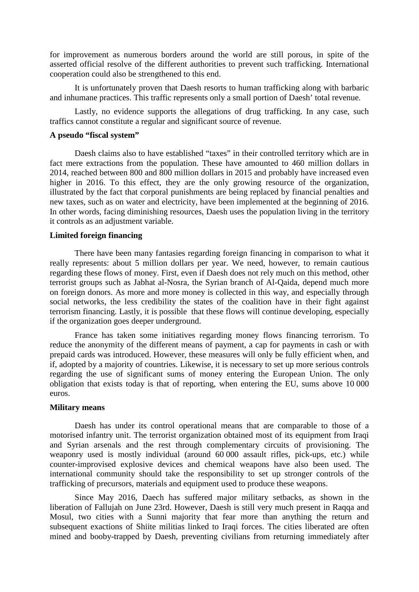for improvement as numerous borders around the world are still porous, in spite of the asserted official resolve of the different authorities to prevent such trafficking. International cooperation could also be strengthened to this end.

It is unfortunately proven that Daesh resorts to human trafficking along with barbaric and inhumane practices. This traffic represents only a small portion of Daesh' total revenue.

Lastly, no evidence supports the allegations of drug trafficking. In any case, such traffics cannot constitute a regular and significant source of revenue.

## **A pseudo "fiscal system"**

Daesh claims also to have established "taxes" in their controlled territory which are in fact mere extractions from the population. These have amounted to 460 million dollars in 2014, reached between 800 and 800 million dollars in 2015 and probably have increased even higher in 2016. To this effect, they are the only growing resource of the organization, illustrated by the fact that corporal punishments are being replaced by financial penalties and new taxes, such as on water and electricity, have been implemented at the beginning of 2016. In other words, facing diminishing resources, Daesh uses the population living in the territory it controls as an adjustment variable.

#### **Limited foreign financing**

There have been many fantasies regarding foreign financing in comparison to what it really represents: about 5 million dollars per year. We need, however, to remain cautious regarding these flows of money. First, even if Daesh does not rely much on this method, other terrorist groups such as Jabhat al-Nosra, the Syrian branch of Al-Qaida, depend much more on foreign donors. As more and more money is collected in this way, and especially through social networks, the less credibility the states of the coalition have in their fight against terrorism financing. Lastly, it is possible that these flows will continue developing, especially if the organization goes deeper underground.

France has taken some initiatives regarding money flows financing terrorism. To reduce the anonymity of the different means of payment, a cap for payments in cash or with prepaid cards was introduced. However, these measures will only be fully efficient when, and if, adopted by a majority of countries. Likewise, it is necessary to set up more serious controls regarding the use of significant sums of money entering the European Union. The only obligation that exists today is that of reporting, when entering the EU, sums above 10 000 euros.

#### **Military means**

Daesh has under its control operational means that are comparable to those of a motorised infantry unit. The terrorist organization obtained most of its equipment from Iraqi and Syrian arsenals and the rest through complementary circuits of provisioning. The weaponry used is mostly individual (around 60 000 assault rifles, pick-ups, etc.) while counter-improvised explosive devices and chemical weapons have also been used. The international community should take the responsibility to set up stronger controls of the trafficking of precursors, materials and equipment used to produce these weapons.

Since May 2016, Daech has suffered major military setbacks, as shown in the liberation of Fallujah on June 23rd. However, Daesh is still very much present in Raqqa and Mosul, two cities with a Sunni majority that fear more than anything the return and subsequent exactions of Shiite militias linked to Iraqi forces. The cities liberated are often mined and booby-trapped by Daesh, preventing civilians from returning immediately after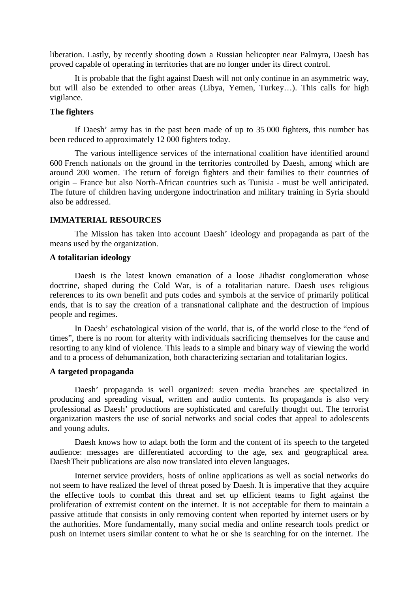liberation. Lastly, by recently shooting down a Russian helicopter near Palmyra, Daesh has proved capable of operating in territories that are no longer under its direct control.

It is probable that the fight against Daesh will not only continue in an asymmetric way, but will also be extended to other areas (Libya, Yemen, Turkey…). This calls for high vigilance.

# **The fighters**

If Daesh' army has in the past been made of up to 35 000 fighters, this number has been reduced to approximately 12 000 fighters today.

The various intelligence services of the international coalition have identified around 600 French nationals on the ground in the territories controlled by Daesh, among which are around 200 women. The return of foreign fighters and their families to their countries of origin – France but also North-African countries such as Tunisia - must be well anticipated. The future of children having undergone indoctrination and military training in Syria should also be addressed.

## **IMMATERIAL RESOURCES**

The Mission has taken into account Daesh' ideology and propaganda as part of the means used by the organization.

# **A totalitarian ideology**

Daesh is the latest known emanation of a loose Jihadist conglomeration whose doctrine, shaped during the Cold War, is of a totalitarian nature. Daesh uses religious references to its own benefit and puts codes and symbols at the service of primarily political ends, that is to say the creation of a transnational caliphate and the destruction of impious people and regimes.

In Daesh' eschatological vision of the world, that is, of the world close to the "end of times", there is no room for alterity with individuals sacrificing themselves for the cause and resorting to any kind of violence. This leads to a simple and binary way of viewing the world and to a process of dehumanization, both characterizing sectarian and totalitarian logics.

## **A targeted propaganda**

Daesh' propaganda is well organized: seven media branches are specialized in producing and spreading visual, written and audio contents. Its propaganda is also very professional as Daesh' productions are sophisticated and carefully thought out. The terrorist organization masters the use of social networks and social codes that appeal to adolescents and young adults.

Daesh knows how to adapt both the form and the content of its speech to the targeted audience: messages are differentiated according to the age, sex and geographical area. DaeshTheir publications are also now translated into eleven languages.

Internet service providers, hosts of online applications as well as social networks do not seem to have realized the level of threat posed by Daesh. It is imperative that they acquire the effective tools to combat this threat and set up efficient teams to fight against the proliferation of extremist content on the internet. It is not acceptable for them to maintain a passive attitude that consists in only removing content when reported by internet users or by the authorities. More fundamentally, many social media and online research tools predict or push on internet users similar content to what he or she is searching for on the internet. The